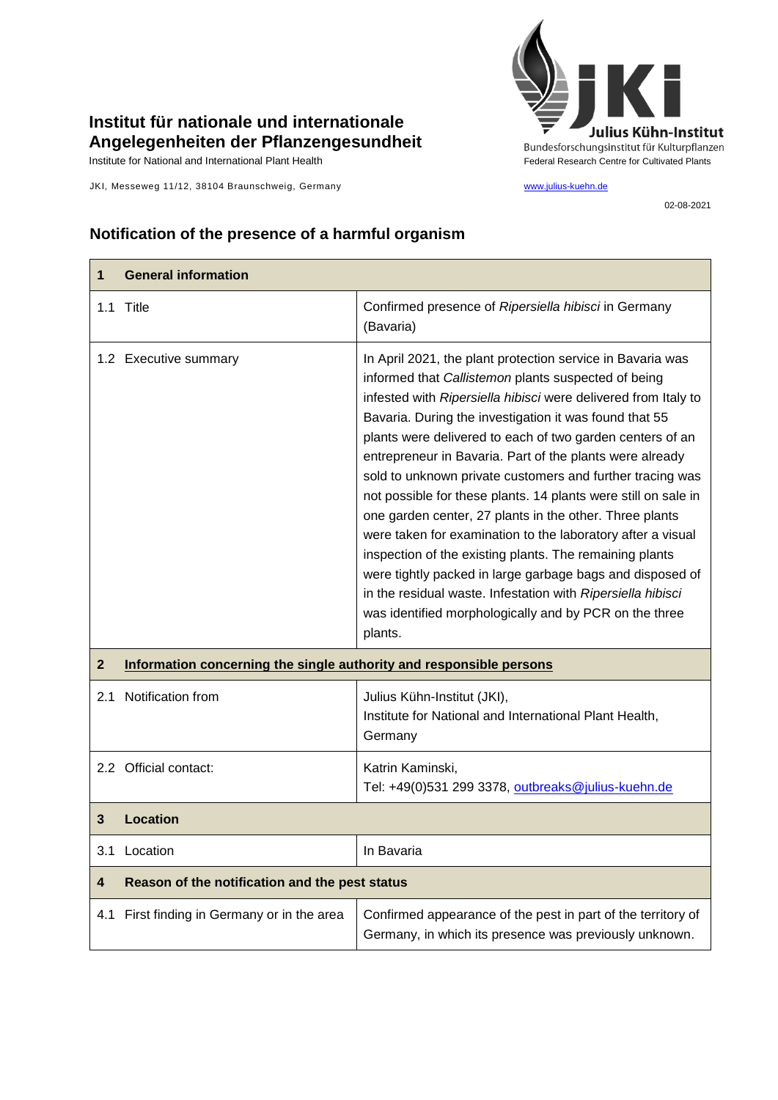## **Institut für nationale und internationale Angelegenheiten der Pflanzengesundheit**

JKI, Messeweg 11/12, 38104 Braunschweig, Germany [www.julius-kuehn.de](http://www.julius-kuehn.de/)



02-08-2021

## **Notification of the presence of a harmful organism**

| 1                       | <b>General information</b>                                          |                                                                                                                                                                                                                                                                                                                                                                                                                                                                                                                                                                                                                                                                                                                                                                                                                                                                                             |
|-------------------------|---------------------------------------------------------------------|---------------------------------------------------------------------------------------------------------------------------------------------------------------------------------------------------------------------------------------------------------------------------------------------------------------------------------------------------------------------------------------------------------------------------------------------------------------------------------------------------------------------------------------------------------------------------------------------------------------------------------------------------------------------------------------------------------------------------------------------------------------------------------------------------------------------------------------------------------------------------------------------|
| 1.1                     | Title                                                               | Confirmed presence of Ripersiella hibisci in Germany<br>(Bavaria)                                                                                                                                                                                                                                                                                                                                                                                                                                                                                                                                                                                                                                                                                                                                                                                                                           |
|                         | 1.2 Executive summary                                               | In April 2021, the plant protection service in Bavaria was<br>informed that Callistemon plants suspected of being<br>infested with Ripersiella hibisci were delivered from Italy to<br>Bavaria. During the investigation it was found that 55<br>plants were delivered to each of two garden centers of an<br>entrepreneur in Bavaria. Part of the plants were already<br>sold to unknown private customers and further tracing was<br>not possible for these plants. 14 plants were still on sale in<br>one garden center, 27 plants in the other. Three plants<br>were taken for examination to the laboratory after a visual<br>inspection of the existing plants. The remaining plants<br>were tightly packed in large garbage bags and disposed of<br>in the residual waste. Infestation with Ripersiella hibisci<br>was identified morphologically and by PCR on the three<br>plants. |
| $\mathbf{2}$            | Information concerning the single authority and responsible persons |                                                                                                                                                                                                                                                                                                                                                                                                                                                                                                                                                                                                                                                                                                                                                                                                                                                                                             |
| 2.1                     | Notification from                                                   | Julius Kühn-Institut (JKI),<br>Institute for National and International Plant Health,<br>Germany                                                                                                                                                                                                                                                                                                                                                                                                                                                                                                                                                                                                                                                                                                                                                                                            |
|                         | 2.2 Official contact:                                               | Katrin Kaminski,<br>Tel: +49(0)531 299 3378, outbreaks@julius-kuehn.de                                                                                                                                                                                                                                                                                                                                                                                                                                                                                                                                                                                                                                                                                                                                                                                                                      |
| 3                       | <b>Location</b>                                                     |                                                                                                                                                                                                                                                                                                                                                                                                                                                                                                                                                                                                                                                                                                                                                                                                                                                                                             |
|                         | 3.1 Location                                                        | In Bavaria                                                                                                                                                                                                                                                                                                                                                                                                                                                                                                                                                                                                                                                                                                                                                                                                                                                                                  |
| $\overline{\mathbf{4}}$ | Reason of the notification and the pest status                      |                                                                                                                                                                                                                                                                                                                                                                                                                                                                                                                                                                                                                                                                                                                                                                                                                                                                                             |
| 4.1                     | First finding in Germany or in the area                             | Confirmed appearance of the pest in part of the territory of<br>Germany, in which its presence was previously unknown.                                                                                                                                                                                                                                                                                                                                                                                                                                                                                                                                                                                                                                                                                                                                                                      |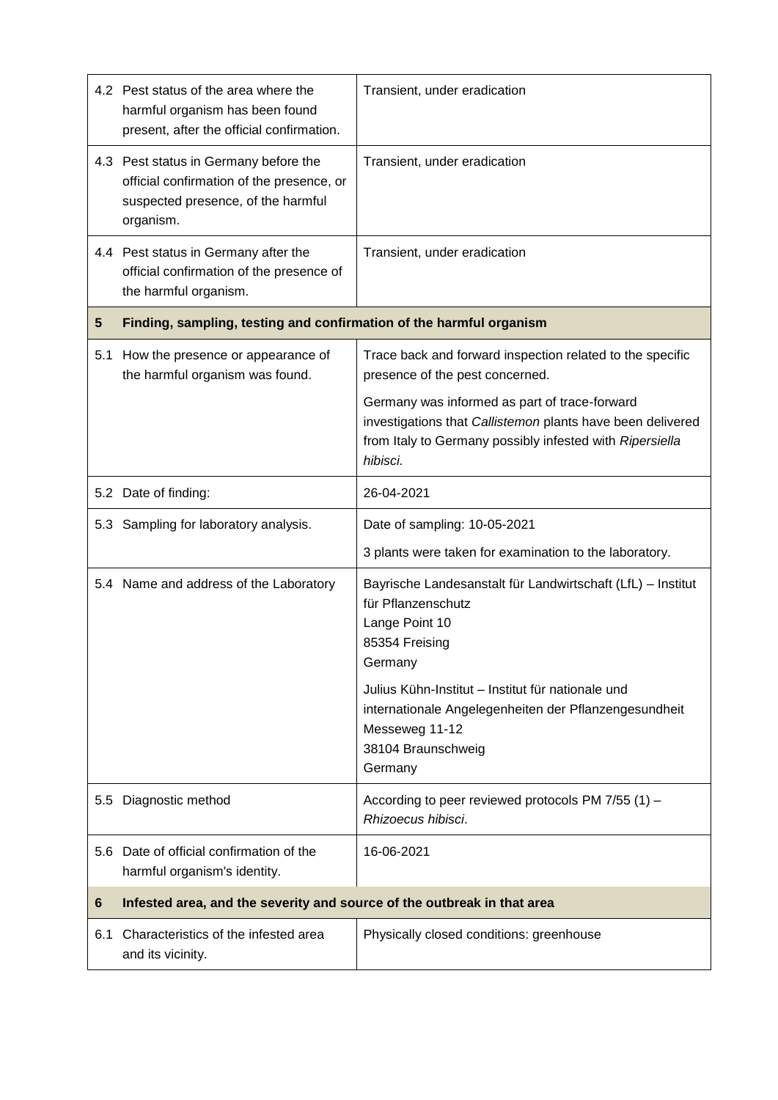|     | 4.2 Pest status of the area where the<br>harmful organism has been found<br>present, after the official confirmation.                 | Transient, under eradication                                                                                                                                                          |  |
|-----|---------------------------------------------------------------------------------------------------------------------------------------|---------------------------------------------------------------------------------------------------------------------------------------------------------------------------------------|--|
|     | 4.3 Pest status in Germany before the<br>official confirmation of the presence, or<br>suspected presence, of the harmful<br>organism. | Transient, under eradication                                                                                                                                                          |  |
|     | 4.4 Pest status in Germany after the<br>official confirmation of the presence of<br>the harmful organism.                             | Transient, under eradication                                                                                                                                                          |  |
| 5   | Finding, sampling, testing and confirmation of the harmful organism                                                                   |                                                                                                                                                                                       |  |
| 5.1 | How the presence or appearance of<br>the harmful organism was found.                                                                  | Trace back and forward inspection related to the specific<br>presence of the pest concerned.                                                                                          |  |
|     |                                                                                                                                       | Germany was informed as part of trace-forward<br>investigations that Callistemon plants have been delivered<br>from Italy to Germany possibly infested with Ripersiella<br>hibisci.   |  |
|     | 5.2 Date of finding:                                                                                                                  | 26-04-2021                                                                                                                                                                            |  |
|     | 5.3 Sampling for laboratory analysis.                                                                                                 | Date of sampling: 10-05-2021                                                                                                                                                          |  |
|     |                                                                                                                                       | 3 plants were taken for examination to the laboratory.                                                                                                                                |  |
|     | 5.4 Name and address of the Laboratory                                                                                                | Bayrische Landesanstalt für Landwirtschaft (LfL) - Institut<br>für Pflanzenschutz<br>Lange Point 10<br>85354 Freising<br>Germany<br>Julius Kühn-Institut - Institut für nationale und |  |
|     |                                                                                                                                       | internationale Angelegenheiten der Pflanzengesundheit<br>Messeweg 11-12<br>38104 Braunschweig<br>Germany                                                                              |  |
|     | 5.5 Diagnostic method                                                                                                                 | According to peer reviewed protocols PM 7/55 (1) -<br>Rhizoecus hibisci.                                                                                                              |  |
|     | 5.6 Date of official confirmation of the<br>harmful organism's identity.                                                              | 16-06-2021                                                                                                                                                                            |  |
| 6   | Infested area, and the severity and source of the outbreak in that area                                                               |                                                                                                                                                                                       |  |
| 6.1 | Characteristics of the infested area<br>and its vicinity.                                                                             | Physically closed conditions: greenhouse                                                                                                                                              |  |